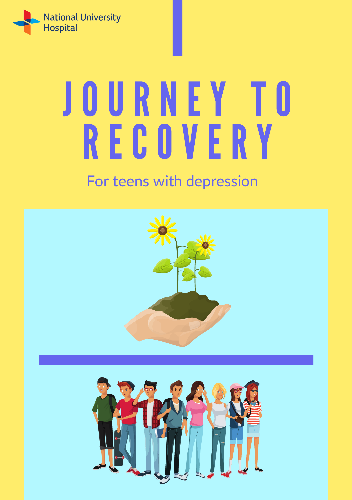

# J O U RNE Y T O R E C O V E R Y

### For teens with depression

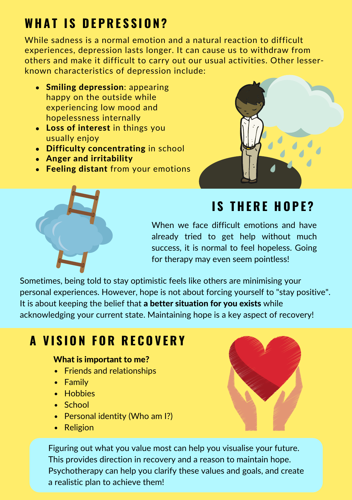## **WH A T I S D E P R E S S I O N ?**

While sadness is a normal emotion and a natural reaction to difficult experiences, depression lasts longer. It can cause us to withdraw from others and make it difficult to carry out our usual activities. Other lesserknown characteristics of depression include:

- Smiling depression: appearing happy on the outside while experiencing low mood and hopelessness internally
- Loss of interest in things you usually enjoy
- Difficulty concentrating in school
- Anger and irritability
- Feeling distant from your emotions





## **I S T H E R E H O P E ?**

When we face difficult emotions and have already tried to get help without much success, it is normal to feel hopeless. Going for therapy may even seem pointless!

Sometimes, being told to stay optimistic feels like others are minimising your personal experiences. However, hope is not about forcing yourself to "stay positive". It is about keeping the belief that a **better situation for you exists** while acknowledging your current state. Maintaining hope is a key aspect of recovery!

## **A V I S I O N F O R R E C O V E R Y**

#### What is important to me?

- Friends and relationships
- Family
- Hobbies
- School
- Personal identity (Who am I?)
- Religion

Figuring out what you value most can help you visualise your future. This provides direction in recovery and a reason to maintain hope. Psychotherapy can help you clarify these values and goals, and create a realistic plan to achieve them!

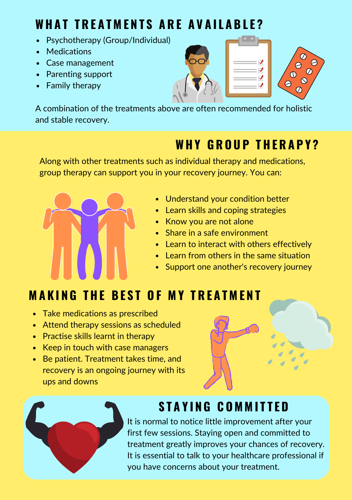## **WHAT TREATMENTS ARE AVAILABLE?**

- Psychotherapy (Group/Individual)
- Medications
- Case management
- Parenting support
- Family therapy





A combination of the treatments above are often recommended for holistic and stable recovery.

## **WH Y G R O U P T H E R A P Y ?**

Along with other treatments such as individual therapy and medications, group therapy can support you in your recovery journey. You can:



- Understand your condition better
- Learn skills and coping strategies
- Know you are not alone
- Share in a safe environment
- Learn to interact with others effectively
- $\bullet$  Learn from others in the same situation
- Support one another's recovery journey

## **MAKING THE BEST OF MY TREATMENT**

- Take medications as prescribed
- Attend therapy sessions as scheduled
- Practise skills learnt in therapy
- Keep in touch with case managers
- Be patient. Treatment takes time, and recovery is an ongoing journey with its ups and downs





## **S T A Y I N G C O M M I T T E D**

It is normal to notice little improvement after your first few sessions. Staying open and committed to treatment greatly improves your chances of recovery. It is essential to talk to your healthcare professional if you have concerns about your treatment.